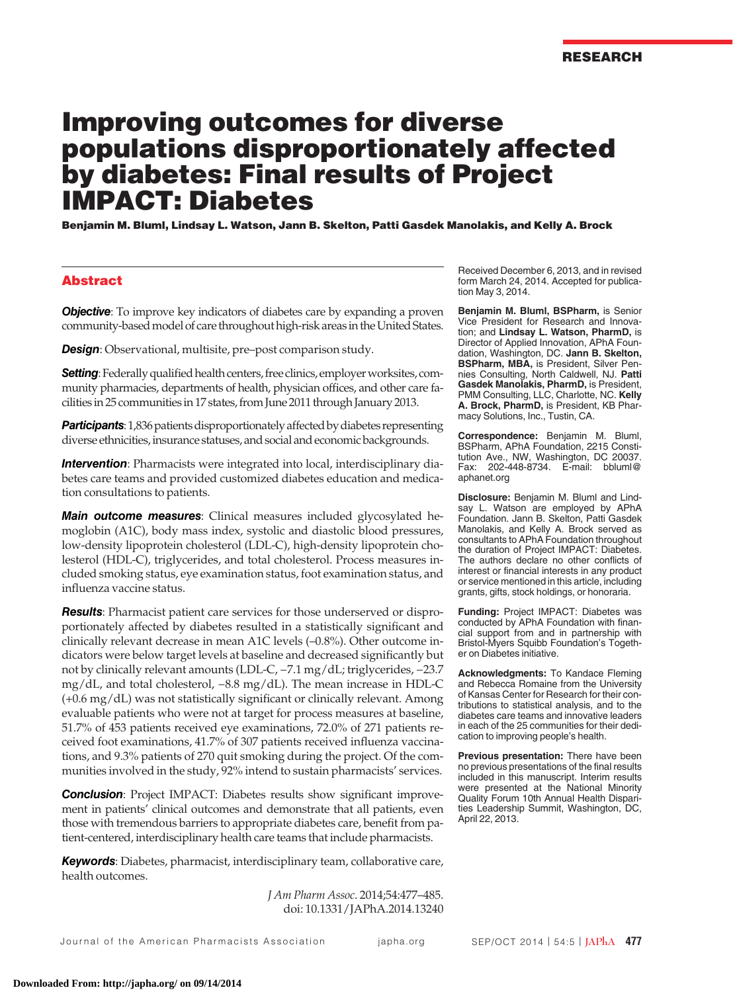# Improving outcomes for diverse populations disproportionately affected by diabetes: Final results of Project IMPACT: Diabetes

Benjamin M. Bluml, Lindsay L. Watson, Jann B. Skelton, Patti Gasdek Manolakis, and Kelly A. Brock

## Abstract

**Objective**: To improve key indicators of diabetes care by expanding a proven community-based model of care throughout high-risk areas in the United States.

*Design*: Observational, multisite, pre–post comparison study.

**Setting**: Federally qualified health centers, free clinics, employer worksites, community pharmacies, departments of health, physician offices, and other care facilities in 25 communities in 17 states, from June 2011 through January 2013.

**Participants**: 1,836 patients disproportionately affected by diabetes representing diverse ethnicities, insurance statuses, and social and economic backgrounds.

*Intervention*: Pharmacists were integrated into local, interdisciplinary diabetes care teams and provided customized diabetes education and medication consultations to patients.

*Main outcome measures*: Clinical measures included glycosylated hemoglobin (A1C), body mass index, systolic and diastolic blood pressures, low-density lipoprotein cholesterol (LDL-C), high-density lipoprotein cholesterol (HDL-C), triglycerides, and total cholesterol. Process measures included smoking status, eye examination status, foot examination status, and influenza vaccine status.

*Results*: Pharmacist patient care services for those underserved or disproportionately affected by diabetes resulted in a statistically significant and clinically relevant decrease in mean A1C levels (–0.8%). Other outcome indicators were below target levels at baseline and decreased significantly but not by clinically relevant amounts (LDL-C, −7.1 mg/dL; triglycerides, −23.7 mg/dL, and total cholesterol, −8.8 mg/dL). The mean increase in HDL-C (+0.6 mg/dL) was not statistically significant or clinically relevant. Among evaluable patients who were not at target for process measures at baseline, 51.7% of 453 patients received eye examinations, 72.0% of 271 patients received foot examinations, 41.7% of 307 patients received influenza vaccinations, and 9.3% patients of 270 quit smoking during the project. Of the communities involved in the study, 92% intend to sustain pharmacists' services.

**Conclusion**: Project IMPACT: Diabetes results show significant improvement in patients' clinical outcomes and demonstrate that all patients, even those with tremendous barriers to appropriate diabetes care, benefit from patient-centered, interdisciplinary health care teams that include pharmacists.

*Keywords*: Diabetes, pharmacist, interdisciplinary team, collaborative care, health outcomes.

> *J Am Pharm Assoc*. 2014;54:477–485. doi: 10.1331/JAPhA.2014.13240

Received December 6, 2013, and in revised form March 24, 2014. Accepted for publication May 3, 2014.

**Benjamin M. Bluml, BSPharm,** is Senior Vice President for Research and Innovation; and **Lindsay L. Watson, PharmD,** is Director of Applied Innovation, APhA Foundation, Washington, DC. **Jann B. Skelton, BSPharm, MBA,** is President, Silver Pennies Consulting, North Caldwell, NJ. **Patti Gasdek Manolakis, PharmD,** is President, PMM Consulting, LLC, Charlotte, NC. **Kelly A. Brock, PharmD,** is President, KB Pharmacy Solutions, Inc., Tustin, CA.

**Correspondence:** Benjamin M. Bluml, BSPharm, APhA Foundation, 2215 Constitution Ave., NW, Washington, DC 20037. Fax: 202-448-8734. E-mail: bbluml@ aphanet.org

**Disclosure:** Benjamin M. Bluml and Lindsay L. Watson are employed by APhA Foundation. Jann B. Skelton, Patti Gasdek Manolakis, and Kelly A. Brock served as consultants to APhA Foundation throughout the duration of Project IMPACT: Diabetes. The authors declare no other conflicts of interest or financial interests in any product or service mentioned in this article, including grants, gifts, stock holdings, or honoraria.

**Funding:** Project IMPACT: Diabetes was conducted by APhA Foundation with financial support from and in partnership with Bristol-Myers Squibb Foundation's Together on Diabetes initiative.

**Acknowledgments:** To Kandace Fleming and Rebecca Romaine from the University of Kansas Center for Research for their contributions to statistical analysis, and to the diabetes care teams and innovative leaders in each of the 25 communities for their dedication to improving people's health.

**Previous presentation:** There have been no previous presentations of the final results included in this manuscript. Interim results were presented at the National Minority Quality Forum 10th Annual Health Disparities Leadership Summit, Washington, DC, April 22, 2013.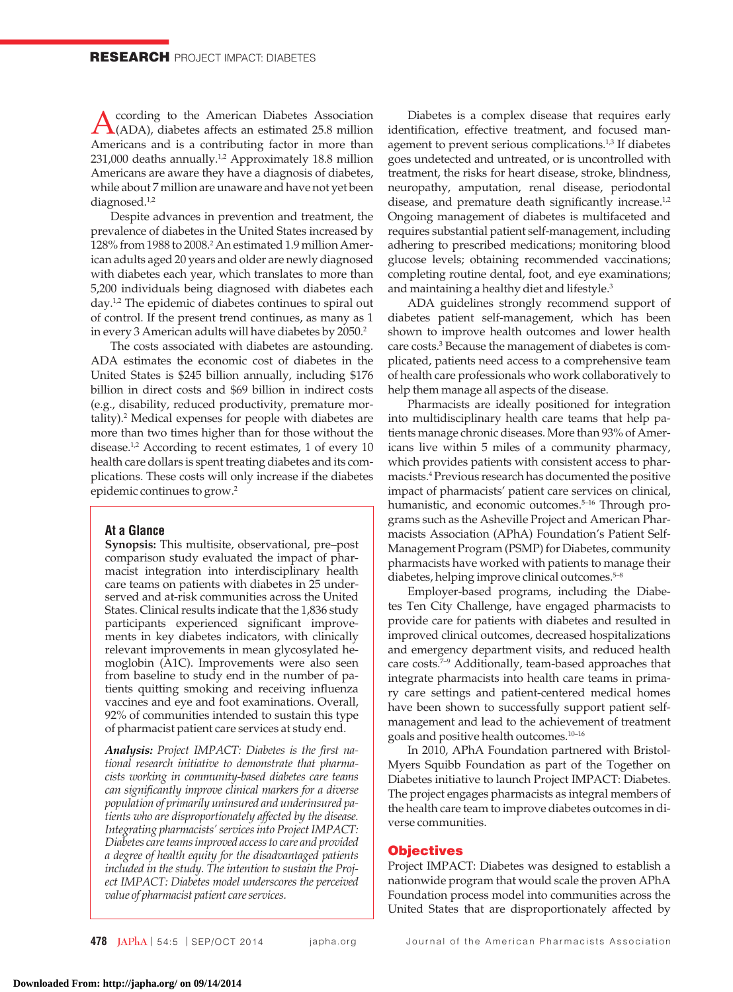According to the American Diabetes Association<br>(ADA), diabetes affects an estimated 25.8 million Americans and is a contributing factor in more than 231,000 deaths annually.<sup>1,2</sup> Approximately 18.8 million Americans are aware they have a diagnosis of diabetes, while about 7 million are unaware and have not yet been diagnosed.<sup>1,2</sup>

Despite advances in prevention and treatment, the prevalence of diabetes in the United States increased by 128% from 1988 to 2008.<sup>2</sup> An estimated 1.9 million American adults aged 20 years and older are newly diagnosed with diabetes each year, which translates to more than 5,200 individuals being diagnosed with diabetes each day.<sup>1,2</sup> The epidemic of diabetes continues to spiral out of control. If the present trend continues, as many as 1 in every 3 American adults will have diabetes by 2050.<sup>2</sup>

The costs associated with diabetes are astounding. ADA estimates the economic cost of diabetes in the United States is \$245 billion annually, including \$176 billion in direct costs and \$69 billion in indirect costs (e.g., disability, reduced productivity, premature mortality).2 Medical expenses for people with diabetes are more than two times higher than for those without the disease.<sup>1,2</sup> According to recent estimates, 1 of every 10 health care dollars is spent treating diabetes and its complications. These costs will only increase if the diabetes epidemic continues to grow.2

## **At a Glance**

**Synopsis:** This multisite, observational, pre–post comparison study evaluated the impact of pharmacist integration into interdisciplinary health care teams on patients with diabetes in 25 underserved and at-risk communities across the United States. Clinical results indicate that the 1,836 study participants experienced significant improvements in key diabetes indicators, with clinically relevant improvements in mean glycosylated hemoglobin (A1C). Improvements were also seen from baseline to study end in the number of patients quitting smoking and receiving influenza vaccines and eye and foot examinations. Overall, 92% of communities intended to sustain this type of pharmacist patient care services at study end.

*Analysis: Project IMPACT: Diabetes is the first national research initiative to demonstrate that pharmacists working in community-based diabetes care teams can significantly improve clinical markers for a diverse population of primarily uninsured and underinsured patients who are disproportionately affected by the disease. Integrating pharmacists' services into Project IMPACT: Diabetes care teams improved access to care and provided a degree of health equity for the disadvantaged patients included in the study. The intention to sustain the Project IMPACT: Diabetes model underscores the perceived value of pharmacist patient care services.*

Diabetes is a complex disease that requires early identification, effective treatment, and focused management to prevent serious complications.<sup>1,3</sup> If diabetes goes undetected and untreated, or is uncontrolled with treatment, the risks for heart disease, stroke, blindness, neuropathy, amputation, renal disease, periodontal disease, and premature death significantly increase.<sup>1,2</sup> Ongoing management of diabetes is multifaceted and requires substantial patient self-management, including adhering to prescribed medications; monitoring blood glucose levels; obtaining recommended vaccinations; completing routine dental, foot, and eye examinations; and maintaining a healthy diet and lifestyle.<sup>3</sup>

ADA guidelines strongly recommend support of diabetes patient self-management, which has been shown to improve health outcomes and lower health care costs.<sup>3</sup> Because the management of diabetes is complicated, patients need access to a comprehensive team of health care professionals who work collaboratively to help them manage all aspects of the disease.

Pharmacists are ideally positioned for integration into multidisciplinary health care teams that help patients manage chronic diseases. More than 93% of Americans live within 5 miles of a community pharmacy, which provides patients with consistent access to pharmacists.4 Previous research has documented the positive impact of pharmacists' patient care services on clinical, humanistic, and economic outcomes.<sup>5-16</sup> Through programs such as the Asheville Project and American Pharmacists Association (APhA) Foundation's Patient Self-Management Program (PSMP) for Diabetes, community pharmacists have worked with patients to manage their diabetes, helping improve clinical outcomes.<sup>5-8</sup>

Employer-based programs, including the Diabetes Ten City Challenge, have engaged pharmacists to provide care for patients with diabetes and resulted in improved clinical outcomes, decreased hospitalizations and emergency department visits, and reduced health care costs.<sup>7-9</sup> Additionally, team-based approaches that integrate pharmacists into health care teams in primary care settings and patient-centered medical homes have been shown to successfully support patient selfmanagement and lead to the achievement of treatment goals and positive health outcomes.10–16

In 2010, APhA Foundation partnered with Bristol-Myers Squibb Foundation as part of the Together on Diabetes initiative to launch Project IMPACT: Diabetes. The project engages pharmacists as integral members of the health care team to improve diabetes outcomes in diverse communities.

#### **Objectives**

Project IMPACT: Diabetes was designed to establish a nationwide program that would scale the proven APhA Foundation process model into communities across the United States that are disproportionately affected by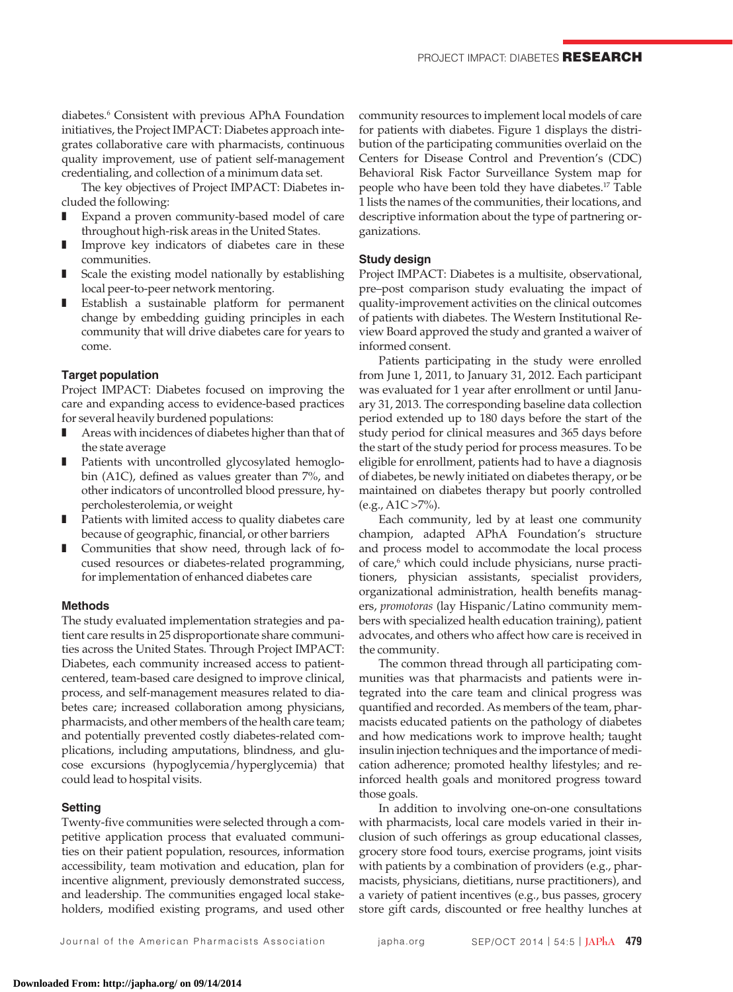diabetes.<sup>6</sup> Consistent with previous APhA Foundation initiatives, the Project IMPACT: Diabetes approach integrates collaborative care with pharmacists, continuous quality improvement, use of patient self-management credentialing, and collection of a minimum data set.

The key objectives of Project IMPACT: Diabetes included the following:

- Expand a proven community-based model of care throughout high-risk areas in the United States.
- Improve key indicators of diabetes care in these communities.
- Scale the existing model nationally by establishing local peer-to-peer network mentoring.
- Establish a sustainable platform for permanent change by embedding guiding principles in each community that will drive diabetes care for years to come.

## **Target population**

Project IMPACT: Diabetes focused on improving the care and expanding access to evidence-based practices for several heavily burdened populations:

- Areas with incidences of diabetes higher than that of the state average
- Patients with uncontrolled glycosylated hemoglobin (A1C), defined as values greater than 7%, and other indicators of uncontrolled blood pressure, hypercholesterolemia, or weight
- Patients with limited access to quality diabetes care because of geographic, financial, or other barriers
- Communities that show need, through lack of focused resources or diabetes-related programming, for implementation of enhanced diabetes care

#### **Methods**

The study evaluated implementation strategies and patient care results in 25 disproportionate share communities across the United States. Through Project IMPACT: Diabetes, each community increased access to patientcentered, team-based care designed to improve clinical, process, and self-management measures related to diabetes care; increased collaboration among physicians, pharmacists, and other members of the health care team; and potentially prevented costly diabetes-related complications, including amputations, blindness, and glucose excursions (hypoglycemia/hyperglycemia) that could lead to hospital visits.

## **Setting**

Twenty-five communities were selected through a competitive application process that evaluated communities on their patient population, resources, information accessibility, team motivation and education, plan for incentive alignment, previously demonstrated success, and leadership. The communities engaged local stakeholders, modified existing programs, and used other community resources to implement local models of care for patients with diabetes. Figure 1 displays the distribution of the participating communities overlaid on the Centers for Disease Control and Prevention's (CDC) Behavioral Risk Factor Surveillance System map for people who have been told they have diabetes.17 Table 1 lists the names of the communities, their locations, and descriptive information about the type of partnering organizations.

## **Study design**

Project IMPACT: Diabetes is a multisite, observational, pre–post comparison study evaluating the impact of quality-improvement activities on the clinical outcomes of patients with diabetes. The Western Institutional Review Board approved the study and granted a waiver of informed consent.

Patients participating in the study were enrolled from June 1, 2011, to January 31, 2012. Each participant was evaluated for 1 year after enrollment or until January 31, 2013. The corresponding baseline data collection period extended up to 180 days before the start of the study period for clinical measures and 365 days before the start of the study period for process measures. To be eligible for enrollment, patients had to have a diagnosis of diabetes, be newly initiated on diabetes therapy, or be maintained on diabetes therapy but poorly controlled  $(e.g., A1C > 7\%).$ 

Each community, led by at least one community champion, adapted APhA Foundation's structure and process model to accommodate the local process of care,<sup>6</sup> which could include physicians, nurse practitioners, physician assistants, specialist providers, organizational administration, health benefits managers, *promotoras* (lay Hispanic/Latino community members with specialized health education training), patient advocates, and others who affect how care is received in the community.

The common thread through all participating communities was that pharmacists and patients were integrated into the care team and clinical progress was quantified and recorded. As members of the team, pharmacists educated patients on the pathology of diabetes and how medications work to improve health; taught insulin injection techniques and the importance of medication adherence; promoted healthy lifestyles; and reinforced health goals and monitored progress toward those goals.

In addition to involving one-on-one consultations with pharmacists, local care models varied in their inclusion of such offerings as group educational classes, grocery store food tours, exercise programs, joint visits with patients by a combination of providers (e.g., pharmacists, physicians, dietitians, nurse practitioners), and a variety of patient incentives (e.g., bus passes, grocery store gift cards, discounted or free healthy lunches at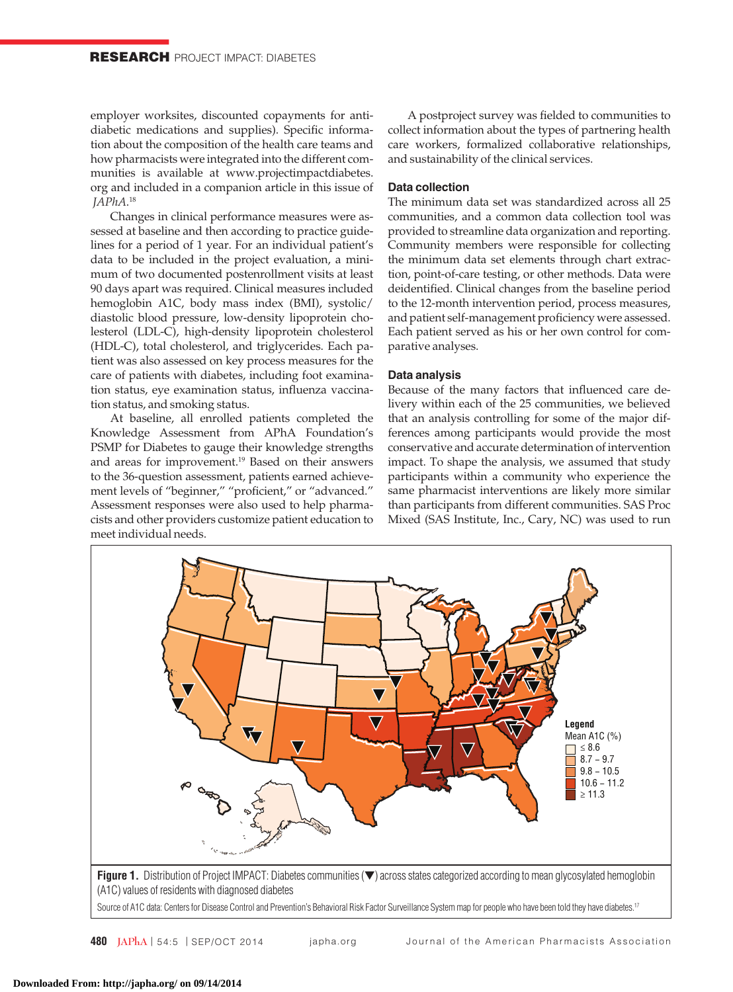employer worksites, discounted copayments for antidiabetic medications and supplies). Specific information about the composition of the health care teams and how pharmacists were integrated into the different communities is available at www.projectimpactdiabetes. org and included in a companion article in this issue of *JAPhA*. 18

Changes in clinical performance measures were assessed at baseline and then according to practice guidelines for a period of 1 year. For an individual patient's data to be included in the project evaluation, a minimum of two documented postenrollment visits at least 90 days apart was required. Clinical measures included hemoglobin A1C, body mass index (BMI), systolic/ diastolic blood pressure, low-density lipoprotein cholesterol (LDL-C), high-density lipoprotein cholesterol (HDL-C), total cholesterol, and triglycerides. Each patient was also assessed on key process measures for the care of patients with diabetes, including foot examination status, eye examination status, influenza vaccination status, and smoking status.

At baseline, all enrolled patients completed the Knowledge Assessment from APhA Foundation's PSMP for Diabetes to gauge their knowledge strengths and areas for improvement.19 Based on their answers to the 36-question assessment, patients earned achievement levels of "beginner," "proficient," or "advanced." Assessment responses were also used to help pharmacists and other providers customize patient education to meet individual needs.

A postproject survey was fielded to communities to collect information about the types of partnering health care workers, formalized collaborative relationships, and sustainability of the clinical services.

## **Data collection**

The minimum data set was standardized across all 25 communities, and a common data collection tool was provided to streamline data organization and reporting. Community members were responsible for collecting the minimum data set elements through chart extraction, point-of-care testing, or other methods. Data were deidentified. Clinical changes from the baseline period to the 12-month intervention period, process measures, and patient self-management proficiency were assessed. Each patient served as his or her own control for comparative analyses.

## **Data analysis**

Because of the many factors that influenced care delivery within each of the 25 communities, we believed that an analysis controlling for some of the major differences among participants would provide the most conservative and accurate determination of intervention impact. To shape the analysis, we assumed that study participants within a community who experience the same pharmacist interventions are likely more similar than participants from different communities. SAS Proc Mixed (SAS Institute, Inc., Cary, NC) was used to run

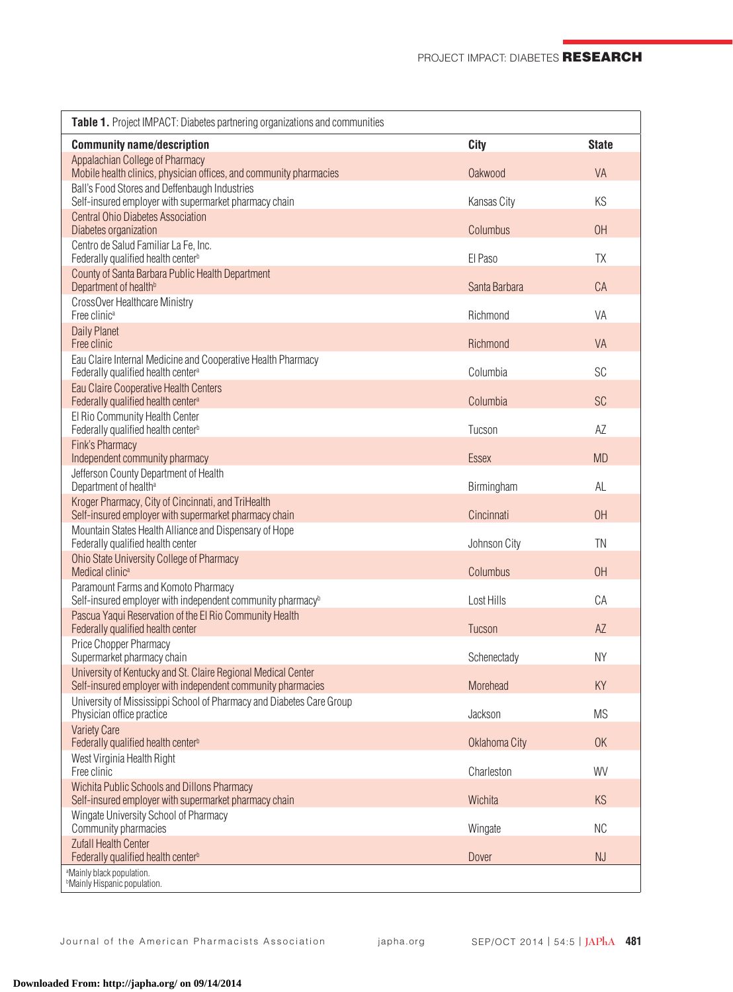| Table 1. Project IMPACT: Diabetes partnering organizations and communities                                                   |                |              |
|------------------------------------------------------------------------------------------------------------------------------|----------------|--------------|
| <b>Community name/description</b>                                                                                            | <b>City</b>    | <b>State</b> |
| Appalachian College of Pharmacy<br>Mobile health clinics, physician offices, and community pharmacies                        | <b>Oakwood</b> | <b>VA</b>    |
| Ball's Food Stores and Deffenbaugh Industries<br>Self-insured employer with supermarket pharmacy chain                       | Kansas City    | KS           |
| <b>Central Ohio Diabetes Association</b><br>Diabetes organization                                                            | Columbus       | OH           |
| Centro de Salud Familiar La Fe, Inc.<br>Federally qualified health center <sup>b</sup>                                       | El Paso        | TX           |
| County of Santa Barbara Public Health Department<br>Department of health <sup>b</sup>                                        | Santa Barbara  | CA           |
| CrossOver Healthcare Ministry<br>Free clinic <sup>a</sup>                                                                    | Richmond       | VA           |
| <b>Daily Planet</b><br>Free clinic                                                                                           | Richmond       | <b>VA</b>    |
| Eau Claire Internal Medicine and Cooperative Health Pharmacy<br>Federally qualified health center <sup>a</sup>               | Columbia       | SC           |
| Eau Claire Cooperative Health Centers<br>Federally qualified health center <sup>a</sup>                                      | Columbia       | <b>SC</b>    |
| El Rio Community Health Center<br>Federally qualified health center <sup>b</sup>                                             | Tucson         | AZ           |
| Fink's Pharmacy<br>Independent community pharmacy                                                                            | <b>Essex</b>   | <b>MD</b>    |
| Jefferson County Department of Health<br>Department of health <sup>a</sup>                                                   | Birmingham     | AL           |
| Kroger Pharmacy, City of Cincinnati, and TriHealth<br>Self-insured employer with supermarket pharmacy chain                  | Cincinnati     | OH           |
| Mountain States Health Alliance and Dispensary of Hope<br>Federally qualified health center                                  | Johnson City   | TN           |
| Ohio State University College of Pharmacy<br>Medical clinic <sup>a</sup>                                                     | Columbus       | OH           |
| Paramount Farms and Komoto Pharmacy<br>Self-insured employer with independent community pharmacy <sup>b</sup>                | Lost Hills     | CA           |
| Pascua Yaqui Reservation of the El Rio Community Health<br>Federally qualified health center                                 | Tucson         | AZ           |
| Price Chopper Pharmacy<br>Supermarket pharmacy chain                                                                         | Schenectady    | <b>NY</b>    |
| University of Kentucky and St. Claire Regional Medical Center<br>Self-insured employer with independent community pharmacies | Morehead       | KY           |
| University of Mississippi School of Pharmacy and Diabetes Care Group<br>Physician office practice                            | Jackson        | <b>MS</b>    |
| <b>Variety Care</b><br>Federally qualified health center <sup>b</sup>                                                        | Oklahoma City  | OK           |
| West Virginia Health Right<br>Free clinic                                                                                    | Charleston     | WV           |
| <b>Wichita Public Schools and Dillons Pharmacy</b><br>Self-insured employer with supermarket pharmacy chain                  | Wichita        | KS           |
| Wingate University School of Pharmacy<br>Community pharmacies                                                                | Wingate        | <b>NC</b>    |
| <b>Zufall Health Center</b><br>Federally qualified health center <sup>b</sup>                                                | Dover          | NJ           |
| <sup>a</sup> Mainly black population.<br><sup>b</sup> Mainly Hispanic population.                                            |                |              |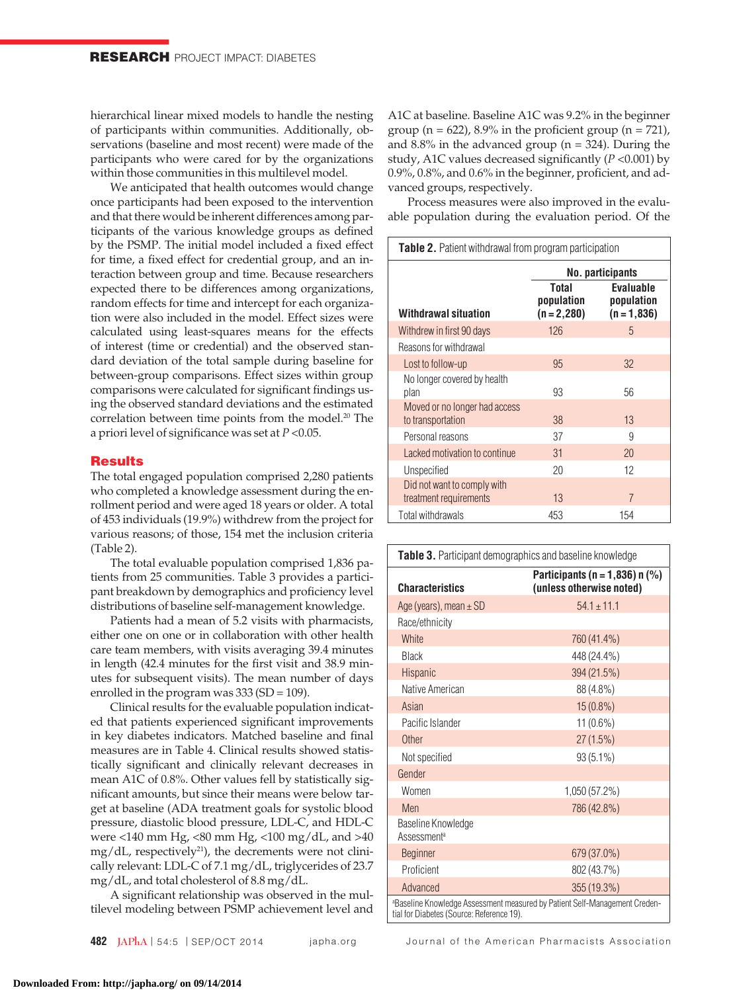hierarchical linear mixed models to handle the nesting of participants within communities. Additionally, observations (baseline and most recent) were made of the participants who were cared for by the organizations within those communities in this multilevel model.

We anticipated that health outcomes would change once participants had been exposed to the intervention and that there would be inherent differences among participants of the various knowledge groups as defined by the PSMP. The initial model included a fixed effect for time, a fixed effect for credential group, and an interaction between group and time. Because researchers expected there to be differences among organizations, random effects for time and intercept for each organization were also included in the model. Effect sizes were calculated using least-squares means for the effects of interest (time or credential) and the observed standard deviation of the total sample during baseline for between-group comparisons. Effect sizes within group comparisons were calculated for significant findings using the observed standard deviations and the estimated correlation between time points from the model.<sup>20</sup> The a priori level of significance was set at *P* <0.05.

# **Results**

The total engaged population comprised 2,280 patients who completed a knowledge assessment during the enrollment period and were aged 18 years or older. A total of 453 individuals (19.9%) withdrew from the project for various reasons; of those, 154 met the inclusion criteria (Table 2).

The total evaluable population comprised 1,836 patients from 25 communities. Table 3 provides a participant breakdown by demographics and proficiency level distributions of baseline self-management knowledge.

Patients had a mean of 5.2 visits with pharmacists, either one on one or in collaboration with other health care team members, with visits averaging 39.4 minutes in length (42.4 minutes for the first visit and 38.9 minutes for subsequent visits). The mean number of days enrolled in the program was 333 (SD = 109).

Clinical results for the evaluable population indicated that patients experienced significant improvements in key diabetes indicators. Matched baseline and final measures are in Table 4. Clinical results showed statistically significant and clinically relevant decreases in mean A1C of 0.8%. Other values fell by statistically significant amounts, but since their means were below target at baseline (ADA treatment goals for systolic blood pressure, diastolic blood pressure, LDL-C, and HDL-C were <140 mm Hg, <80 mm Hg, <100 mg/dL, and >40  $mg/dL$ , respectively<sup>21</sup>), the decrements were not clinically relevant: LDL-C of 7.1 mg/dL, triglycerides of 23.7 mg/dL, and total cholesterol of 8.8 mg/dL.

A significant relationship was observed in the multilevel modeling between PSMP achievement level and A1C at baseline. Baseline A1C was 9.2% in the beginner group ( $n = 622$ ), 8.9% in the proficient group ( $n = 721$ ), and  $8.8\%$  in the advanced group ( $n = 324$ ). During the study, A1C values decreased significantly (*P* <0.001) by 0.9%, 0.8%, and 0.6% in the beginner, proficient, and advanced groups, respectively.

Process measures were also improved in the evaluable population during the evaluation period. Of the

| <b>Table 2.</b> Patient withdrawal from program participation |                                      |                                           |  |  |  |
|---------------------------------------------------------------|--------------------------------------|-------------------------------------------|--|--|--|
|                                                               | No. participants                     |                                           |  |  |  |
| Withdrawal situation                                          | Total<br>population<br>$(n = 2,280)$ | Evaluable<br>population<br>$(n = 1, 836)$ |  |  |  |
| Withdrew in first 90 days                                     | 126                                  | 5                                         |  |  |  |
| Reasons for withdrawal                                        |                                      |                                           |  |  |  |
| Lost to follow-up                                             | 95                                   | 32                                        |  |  |  |
| No longer covered by health<br>plan                           | 93                                   | 56                                        |  |  |  |
| Moved or no longer had access<br>to transportation            | 38                                   | 13                                        |  |  |  |
| Personal reasons                                              | 37                                   | 9                                         |  |  |  |
| Lacked motivation to continue                                 | 31                                   | 20                                        |  |  |  |
| Unspecified                                                   | 20                                   | 12                                        |  |  |  |
| Did not want to comply with<br>treatment requirements         | 13                                   | $\overline{7}$                            |  |  |  |
| Total withdrawals                                             | 453                                  | 154                                       |  |  |  |

| <b>Table 3.</b> Participant demographics and baseline knowledge                                                         |                                                               |  |  |  |
|-------------------------------------------------------------------------------------------------------------------------|---------------------------------------------------------------|--|--|--|
| <b>Characteristics</b>                                                                                                  | Participants (n = 1,836) n $(\%)$<br>(unless otherwise noted) |  |  |  |
| Age (years), mean $\pm$ SD                                                                                              | $54.1 \pm 11.1$                                               |  |  |  |
| Race/ethnicity                                                                                                          |                                                               |  |  |  |
| White                                                                                                                   | 760 (41.4%)                                                   |  |  |  |
| <b>Black</b>                                                                                                            | 448 (24.4%)                                                   |  |  |  |
| <b>Hispanic</b>                                                                                                         | 394 (21.5%)                                                   |  |  |  |
| Native American                                                                                                         | 88 (4.8%)                                                     |  |  |  |
| Asian                                                                                                                   | $15(0.8\%)$                                                   |  |  |  |
| Pacific Islander                                                                                                        | $11(0.6\%)$                                                   |  |  |  |
| Other                                                                                                                   | 27(1.5%)                                                      |  |  |  |
| Not specified                                                                                                           | 93 (5.1%)                                                     |  |  |  |
| Gender                                                                                                                  |                                                               |  |  |  |
| Women                                                                                                                   | 1,050 (57.2%)                                                 |  |  |  |
| Men                                                                                                                     | 786 (42.8%)                                                   |  |  |  |
| Baseline Knowledge<br>Assessment <sup>a</sup>                                                                           |                                                               |  |  |  |
| <b>Beginner</b>                                                                                                         | 679 (37.0%)                                                   |  |  |  |
| Proficient                                                                                                              | 802 (43.7%)                                                   |  |  |  |
| Advanced                                                                                                                | 355 (19.3%)                                                   |  |  |  |
| aBaseline Knowledge Assessment measured by Patient Self-Management Creden-<br>tial for Diabetes (Source: Reference 19). |                                                               |  |  |  |

**482 JAPhA** | 54:5 | SEP/OCT 2014 japha.org Journal of the American Pharmacists Association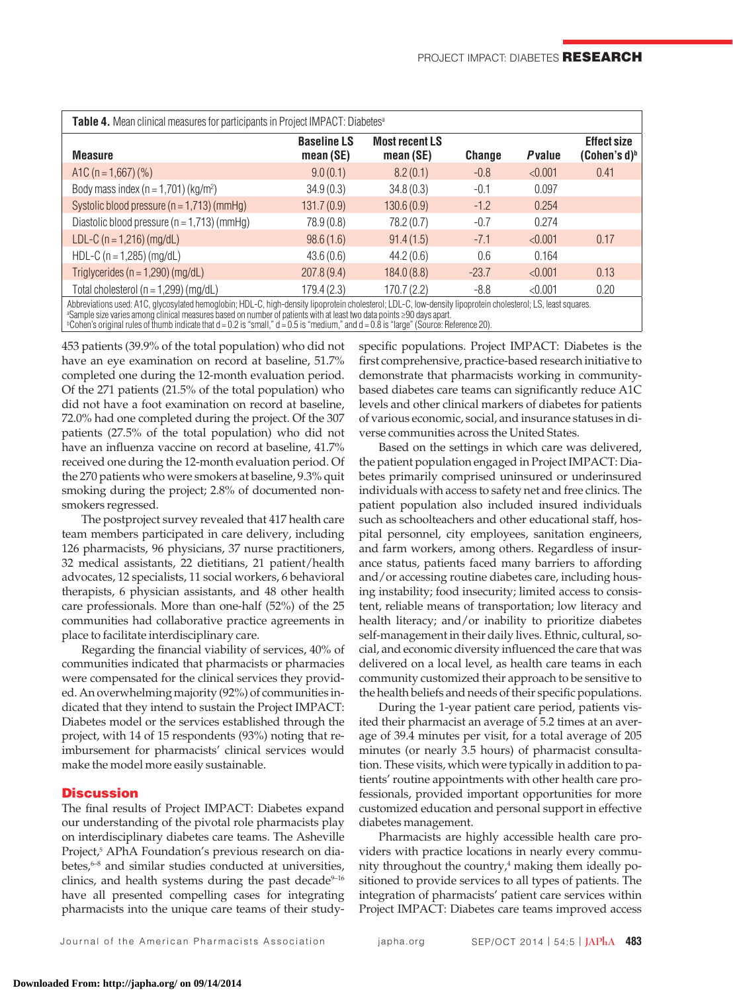| Table 4. Mean clinical measures for participants in Project IMPACT: Diabetes <sup>a</sup>                                                                                                                                                                                               |                                 |                                    |               |                |                                       |  |  |
|-----------------------------------------------------------------------------------------------------------------------------------------------------------------------------------------------------------------------------------------------------------------------------------------|---------------------------------|------------------------------------|---------------|----------------|---------------------------------------|--|--|
| <b>Measure</b>                                                                                                                                                                                                                                                                          | <b>Baseline LS</b><br>mean (SE) | <b>Most recent LS</b><br>mean (SE) | <b>Change</b> | <b>P</b> value | <b>Effect size</b><br>$(Cohen's d)^b$ |  |  |
| A1C ( $n = 1,667$ ) (%)                                                                                                                                                                                                                                                                 | 9.0(0.1)                        | 8.2(0.1)                           | $-0.8$        | < 0.001        | 0.41                                  |  |  |
| Body mass index ( $n = 1,701$ ) (kg/m <sup>2</sup> )                                                                                                                                                                                                                                    | 34.9(0.3)                       | 34.8(0.3)                          | $-0.1$        | 0.097          |                                       |  |  |
| Systolic blood pressure $(n = 1,713)$ (mmHg)                                                                                                                                                                                                                                            | 131.7(0.9)                      | 130.6(0.9)                         | $-1.2$        | 0.254          |                                       |  |  |
| Diastolic blood pressure $(n = 1,713)$ (mmHg)                                                                                                                                                                                                                                           | 78.9(0.8)                       | 78.2 (0.7)                         | $-0.7$        | 0.274          |                                       |  |  |
| LDL-C ( $n = 1,216$ ) (mg/dL)                                                                                                                                                                                                                                                           | 98.6(1.6)                       | 91.4(1.5)                          | $-7.1$        | < 0.001        | 0.17                                  |  |  |
| HDL-C ( $n = 1,285$ ) (mg/dL)                                                                                                                                                                                                                                                           | 43.6(0.6)                       | 44.2(0.6)                          | 0.6           | 0.164          |                                       |  |  |
| Triglycerides ( $n = 1,290$ ) (mg/dL)                                                                                                                                                                                                                                                   | 207.8(9.4)                      | 184.0(8.8)                         | $-23.7$       | < 0.001        | 0.13                                  |  |  |
| Total cholesterol ( $n = 1,299$ ) (mg/dL)                                                                                                                                                                                                                                               | 179.4(2.3)                      | 170.7 (2.2)                        | $-8.8$        | < 0.001        | 0.20                                  |  |  |
| Abbreviations used: A1C, glycosylated hemoglobin; HDL-C, high-density lipoprotein cholesterol; LDL-C, low-density lipoprotein cholesterol; LS, least squares.<br>a Sample size varies among clinical measures based on number of patients with at least two data points ≥90 days apart. |                                 |                                    |               |                |                                       |  |  |

b Cohen's original rules of thumb indicate that d = 0.2 is "small," d = 0.5 is "medium," and d = 0.8 is "large" (Source: Reference 20).

453 patients (39.9% of the total population) who did not have an eye examination on record at baseline, 51.7% completed one during the 12-month evaluation period. Of the 271 patients (21.5% of the total population) who did not have a foot examination on record at baseline, 72.0% had one completed during the project. Of the 307 patients (27.5% of the total population) who did not have an influenza vaccine on record at baseline, 41.7% received one during the 12-month evaluation period. Of the 270 patients who were smokers at baseline, 9.3% quit smoking during the project; 2.8% of documented nonsmokers regressed.

The postproject survey revealed that 417 health care team members participated in care delivery, including 126 pharmacists, 96 physicians, 37 nurse practitioners, 32 medical assistants, 22 dietitians, 21 patient/health advocates, 12 specialists, 11 social workers, 6 behavioral therapists, 6 physician assistants, and 48 other health care professionals. More than one-half (52%) of the 25 communities had collaborative practice agreements in place to facilitate interdisciplinary care.

Regarding the financial viability of services, 40% of communities indicated that pharmacists or pharmacies were compensated for the clinical services they provided. An overwhelming majority (92%) of communities indicated that they intend to sustain the Project IMPACT: Diabetes model or the services established through the project, with 14 of 15 respondents (93%) noting that reimbursement for pharmacists' clinical services would make the model more easily sustainable.

## **Discussion**

The final results of Project IMPACT: Diabetes expand our understanding of the pivotal role pharmacists play on interdisciplinary diabetes care teams. The Asheville Project,<sup>5</sup> APhA Foundation's previous research on diabetes, $6-8$  and similar studies conducted at universities, clinics, and health systems during the past decade $9-16$ have all presented compelling cases for integrating pharmacists into the unique care teams of their studyspecific populations. Project IMPACT: Diabetes is the first comprehensive, practice-based research initiative to demonstrate that pharmacists working in communitybased diabetes care teams can significantly reduce A1C levels and other clinical markers of diabetes for patients of various economic, social, and insurance statuses in diverse communities across the United States.

Based on the settings in which care was delivered, the patient population engaged in Project IMPACT: Diabetes primarily comprised uninsured or underinsured individuals with access to safety net and free clinics. The patient population also included insured individuals such as schoolteachers and other educational staff, hospital personnel, city employees, sanitation engineers, and farm workers, among others. Regardless of insurance status, patients faced many barriers to affording and/or accessing routine diabetes care, including housing instability; food insecurity; limited access to consistent, reliable means of transportation; low literacy and health literacy; and/or inability to prioritize diabetes self-management in their daily lives. Ethnic, cultural, social, and economic diversity influenced the care that was delivered on a local level, as health care teams in each community customized their approach to be sensitive to the health beliefs and needs of their specific populations.

During the 1-year patient care period, patients visited their pharmacist an average of 5.2 times at an average of 39.4 minutes per visit, for a total average of 205 minutes (or nearly 3.5 hours) of pharmacist consultation. These visits, which were typically in addition to patients' routine appointments with other health care professionals, provided important opportunities for more customized education and personal support in effective diabetes management.

Pharmacists are highly accessible health care providers with practice locations in nearly every community throughout the country,<sup>4</sup> making them ideally positioned to provide services to all types of patients. The integration of pharmacists' patient care services within Project IMPACT: Diabetes care teams improved access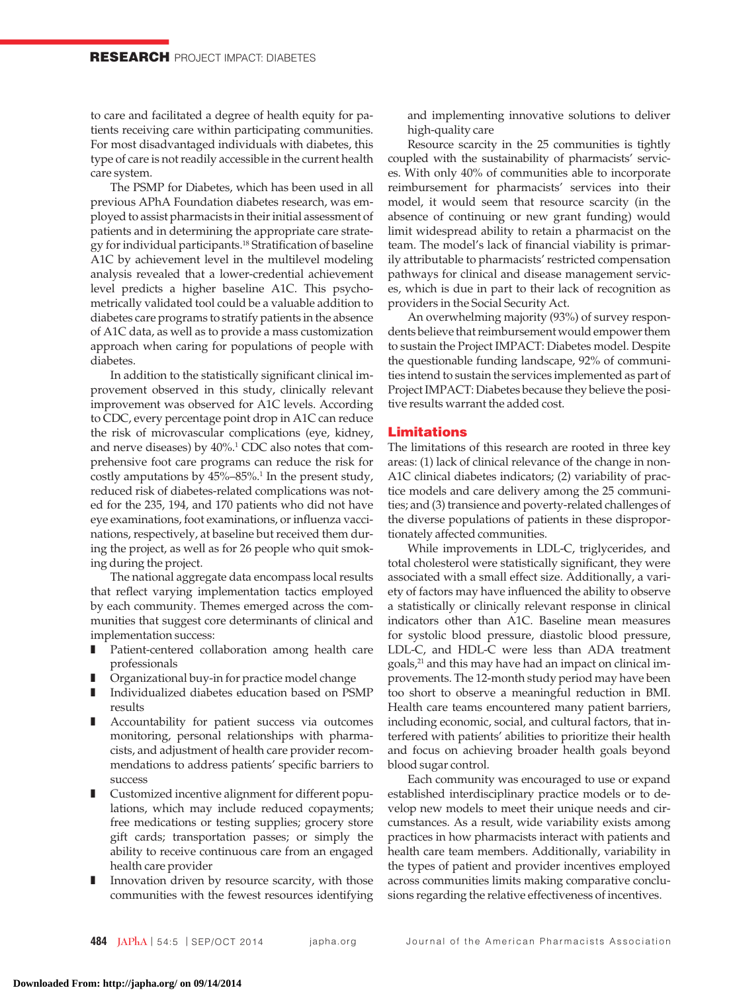to care and facilitated a degree of health equity for patients receiving care within participating communities. For most disadvantaged individuals with diabetes, this type of care is not readily accessible in the current health care system.

The PSMP for Diabetes, which has been used in all previous APhA Foundation diabetes research, was employed to assist pharmacists in their initial assessment of patients and in determining the appropriate care strategy for individual participants.<sup>18</sup> Stratification of baseline A1C by achievement level in the multilevel modeling analysis revealed that a lower-credential achievement level predicts a higher baseline A1C. This psychometrically validated tool could be a valuable addition to diabetes care programs to stratify patients in the absence of A1C data, as well as to provide a mass customization approach when caring for populations of people with diabetes.

In addition to the statistically significant clinical improvement observed in this study, clinically relevant improvement was observed for A1C levels. According to CDC, every percentage point drop in A1C can reduce the risk of microvascular complications (eye, kidney, and nerve diseases) by  $40\%$ .<sup>1</sup> CDC also notes that comprehensive foot care programs can reduce the risk for costly amputations by  $45\% - 85\%$ .<sup>1</sup> In the present study, reduced risk of diabetes-related complications was noted for the 235, 194, and 170 patients who did not have eye examinations, foot examinations, or influenza vaccinations, respectively, at baseline but received them during the project, as well as for 26 people who quit smoking during the project.

The national aggregate data encompass local results that reflect varying implementation tactics employed by each community. Themes emerged across the communities that suggest core determinants of clinical and implementation success:

- Patient-centered collaboration among health care professionals
- Organizational buy-in for practice model change
- Individualized diabetes education based on PSMP results
- Accountability for patient success via outcomes monitoring, personal relationships with pharmacists, and adjustment of health care provider recommendations to address patients' specific barriers to success
- Customized incentive alignment for different populations, which may include reduced copayments; free medications or testing supplies; grocery store gift cards; transportation passes; or simply the ability to receive continuous care from an engaged health care provider
- Innovation driven by resource scarcity, with those communities with the fewest resources identifying

and implementing innovative solutions to deliver high-quality care

Resource scarcity in the 25 communities is tightly coupled with the sustainability of pharmacists' services. With only 40% of communities able to incorporate reimbursement for pharmacists' services into their model, it would seem that resource scarcity (in the absence of continuing or new grant funding) would limit widespread ability to retain a pharmacist on the team. The model's lack of financial viability is primarily attributable to pharmacists' restricted compensation pathways for clinical and disease management services, which is due in part to their lack of recognition as providers in the Social Security Act.

An overwhelming majority (93%) of survey respondents believe that reimbursement would empower them to sustain the Project IMPACT: Diabetes model. Despite the questionable funding landscape, 92% of communities intend to sustain the services implemented as part of Project IMPACT: Diabetes because they believe the positive results warrant the added cost.

# Limitations

The limitations of this research are rooted in three key areas: (1) lack of clinical relevance of the change in non-A1C clinical diabetes indicators; (2) variability of practice models and care delivery among the 25 communities; and (3) transience and poverty-related challenges of the diverse populations of patients in these disproportionately affected communities.

While improvements in LDL-C, triglycerides, and total cholesterol were statistically significant, they were associated with a small effect size. Additionally, a variety of factors may have influenced the ability to observe a statistically or clinically relevant response in clinical indicators other than A1C. Baseline mean measures for systolic blood pressure, diastolic blood pressure, LDL-C, and HDL-C were less than ADA treatment goals,<sup>21</sup> and this may have had an impact on clinical improvements. The 12-month study period may have been too short to observe a meaningful reduction in BMI. Health care teams encountered many patient barriers, including economic, social, and cultural factors, that interfered with patients' abilities to prioritize their health and focus on achieving broader health goals beyond blood sugar control.

Each community was encouraged to use or expand established interdisciplinary practice models or to develop new models to meet their unique needs and circumstances. As a result, wide variability exists among practices in how pharmacists interact with patients and health care team members. Additionally, variability in the types of patient and provider incentives employed across communities limits making comparative conclusions regarding the relative effectiveness of incentives.